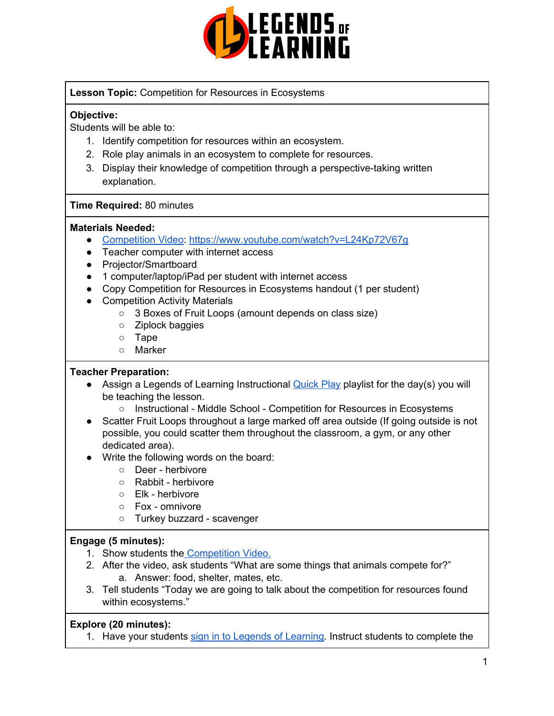

#### **Lesson Topic:** Competition for Resources in Ecosystems

### **Objective:**

Students will be able to:

- 1. Identify competition for resources within an ecosystem.
- 2. Role play animals in an ecosystem to complete for resources.
- 3. Display their knowledge of competition through a perspective-taking written explanation.

#### **Time Required:** 80 minutes

#### **Materials Needed:**

- [Competition](https://www.youtube.com/watch?v=L24Kp72V67g) Video: <https://www.youtube.com/watch?v=L24Kp72V67g>
- Teacher computer with internet access
- Projector/Smartboard
- 1 computer/laptop/iPad per student with internet access
- Copy Competition for Resources in Ecosystems handout (1 per student)
- Competition Activity Materials
	- 3 Boxes of Fruit Loops (amount depends on class size)
	- Ziplock baggies
	- Tape
	- Marker

#### **Teacher Preparation:**

- Assign a Legends of Learning Instructional [Quick](https://intercom.help/legends-of-learning/en/articles/2701866-assigning-a-quick-play-playlist) Play playlist for the day(s) you will be teaching the lesson.
	- Instructional Middle School Competition for Resources in Ecosystems
- Scatter Fruit Loops throughout a large marked off area outside (If going outside is not possible, you could scatter them throughout the classroom, a gym, or any other dedicated area).
- Write the following words on the board:
	- Deer herbivore
	- Rabbit herbivore
	- Elk herbivore
	- Fox omnivore
	- Turkey buzzard scavenger

#### **Engage (5 minutes):**

- 1. Show students the [Competition](https://www.youtube.com/watch?v=L24Kp72V67g) Video.
- 2. After the video, ask students "What are some things that animals compete for?" a. Answer: food, shelter, mates, etc.
- 3. Tell students "Today we are going to talk about the competition for resources found within ecosystems."

#### **Explore (20 minutes):**

1. Have your students sign in to Legends of [Learning](https://intercom.help/legends-of-learning/en/articles/2154920-students-joining-a-playlist). Instruct students to complete the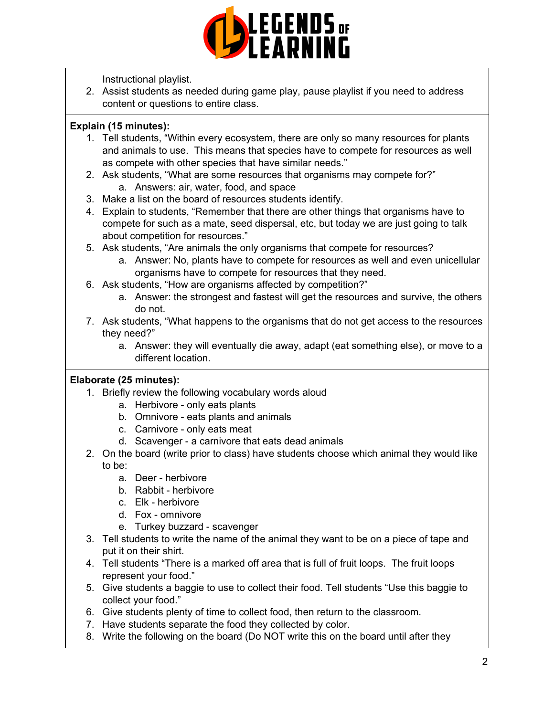

Instructional playlist.

2. Assist students as needed during game play, pause playlist if you need to address content or questions to entire class.

### **Explain (15 minutes):**

- 1. Tell students, "Within every ecosystem, there are only so many resources for plants and animals to use. This means that species have to compete for resources as well as compete with other species that have similar needs."
- 2. Ask students, "What are some resources that organisms may compete for?" a. Answers: air, water, food, and space
- 3. Make a list on the board of resources students identify.
- 4. Explain to students, "Remember that there are other things that organisms have to compete for such as a mate, seed dispersal, etc, but today we are just going to talk about competition for resources."
- 5. Ask students, "Are animals the only organisms that compete for resources?
	- a. Answer: No, plants have to compete for resources as well and even unicellular organisms have to compete for resources that they need.
- 6. Ask students, "How are organisms affected by competition?"
	- a. Answer: the strongest and fastest will get the resources and survive, the others do not.
- 7. Ask students, "What happens to the organisms that do not get access to the resources they need?"
	- a. Answer: they will eventually die away, adapt (eat something else), or move to a different location.

## **Elaborate (25 minutes):**

- 1. Briefly review the following vocabulary words aloud
	- a. Herbivore only eats plants
	- b. Omnivore eats plants and animals
	- c. Carnivore only eats meat
	- d. Scavenger a carnivore that eats dead animals
- 2. On the board (write prior to class) have students choose which animal they would like to be:
	- a. Deer herbivore
	- b. Rabbit herbivore
	- c. Elk herbivore
	- d. Fox omnivore
	- e. Turkey buzzard scavenger
- 3. Tell students to write the name of the animal they want to be on a piece of tape and put it on their shirt.
- 4. Tell students "There is a marked off area that is full of fruit loops. The fruit loops represent your food."
- 5. Give students a baggie to use to collect their food. Tell students "Use this baggie to collect your food."
- 6. Give students plenty of time to collect food, then return to the classroom.
- 7. Have students separate the food they collected by color.
- 8. Write the following on the board (Do NOT write this on the board until after they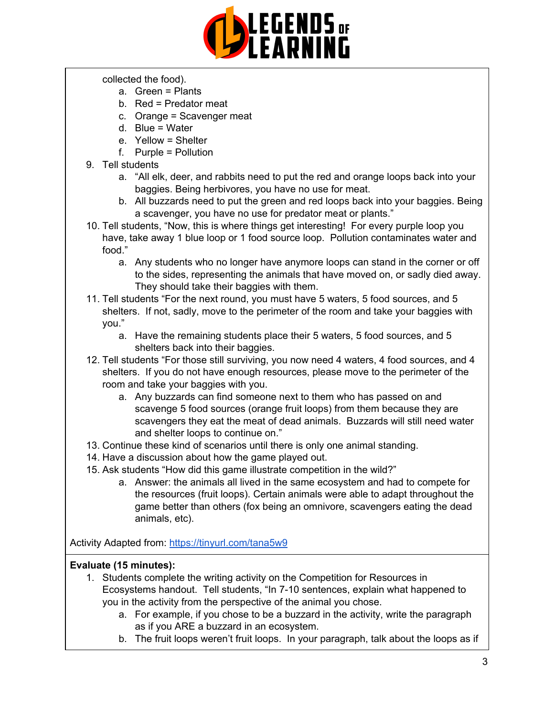

collected the food).

- a. Green = Plants
- b. Red = Predator meat
- c. Orange = Scavenger meat
- d. Blue = Water
- e. Yellow = Shelter
- f. Purple = Pollution
- 9. Tell students
	- a. "All elk, deer, and rabbits need to put the red and orange loops back into your baggies. Being herbivores, you have no use for meat.
	- b. All buzzards need to put the green and red loops back into your baggies. Being a scavenger, you have no use for predator meat or plants."
- 10. Tell students, "Now, this is where things get interesting! For every purple loop you have, take away 1 blue loop or 1 food source loop. Pollution contaminates water and food."
	- a. Any students who no longer have anymore loops can stand in the corner or off to the sides, representing the animals that have moved on, or sadly died away. They should take their baggies with them.
- 11. Tell students "For the next round, you must have 5 waters, 5 food sources, and 5 shelters. If not, sadly, move to the perimeter of the room and take your baggies with you."
	- a. Have the remaining students place their 5 waters, 5 food sources, and 5 shelters back into their baggies.
- 12. Tell students "For those still surviving, you now need 4 waters, 4 food sources, and 4 shelters. If you do not have enough resources, please move to the perimeter of the room and take your baggies with you.
	- a. Any buzzards can find someone next to them who has passed on and scavenge 5 food sources (orange fruit loops) from them because they are scavengers they eat the meat of dead animals. Buzzards will still need water and shelter loops to continue on."
- 13. Continue these kind of scenarios until there is only one animal standing.
- 14. Have a discussion about how the game played out.
- 15. Ask students "How did this game illustrate competition in the wild?"
	- a. Answer: the animals all lived in the same ecosystem and had to compete for the resources (fruit loops). Certain animals were able to adapt throughout the game better than others (fox being an omnivore, scavengers eating the dead animals, etc).

Activity Adapted from: <https://tinyurl.com/tana5w9>

## **Evaluate (15 minutes):**

- 1. Students complete the writing activity on the Competition for Resources in Ecosystems handout. Tell students, "In 7-10 sentences, explain what happened to you in the activity from the perspective of the animal you chose.
	- a. For example, if you chose to be a buzzard in the activity, write the paragraph as if you ARE a buzzard in an ecosystem.
	- b. The fruit loops weren't fruit loops. In your paragraph, talk about the loops as if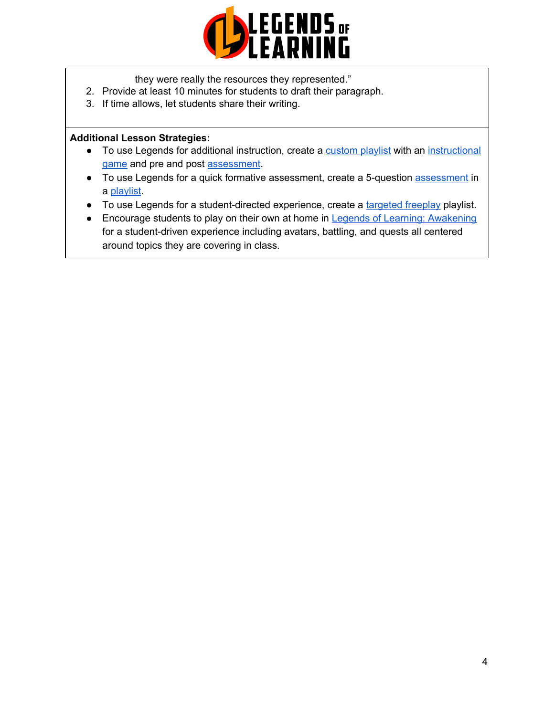

they were really the resources they represented."

- 2. Provide at least 10 minutes for students to draft their paragraph.
- 3. If time allows, let students share their writing.

#### **Additional Lesson Strategies:**

- To use Legends for additional instruction, create a [custom](https://intercom.help/legends-of-learning/en/articles/2154910-creating-a-playlist) playlist with an [instructional](https://intercom.help/legends-of-learning/en/articles/3505828-types-of-games) [game](https://intercom.help/legends-of-learning/en/articles/3505828-types-of-games) and pre and post [assessment](https://intercom.help/legends-of-learning/en/articles/2154913-adding-assessments-to-a-playlist).
- To use Legends for a quick formative [assessment](https://intercom.help/legends-of-learning/en/articles/2154913-adding-assessments-to-a-playlist), create a 5-question assessment in a [playlist](https://intercom.help/legends-of-learning/en/articles/2154910-creating-a-playlist).
- To use Legends for a student-directed experience, create a [targeted](https://intercom.help/legends-of-learning/en/articles/3340814-targeted-freeplay) freeplay playlist.
- Encourage students to play on their own at home in Legends of Learning: [Awakening](https://intercom.help/legends-of-learning/en/articles/2425490-legends-of-learning-awakening) for a student-driven experience including avatars, battling, and quests all centered around topics they are covering in class.